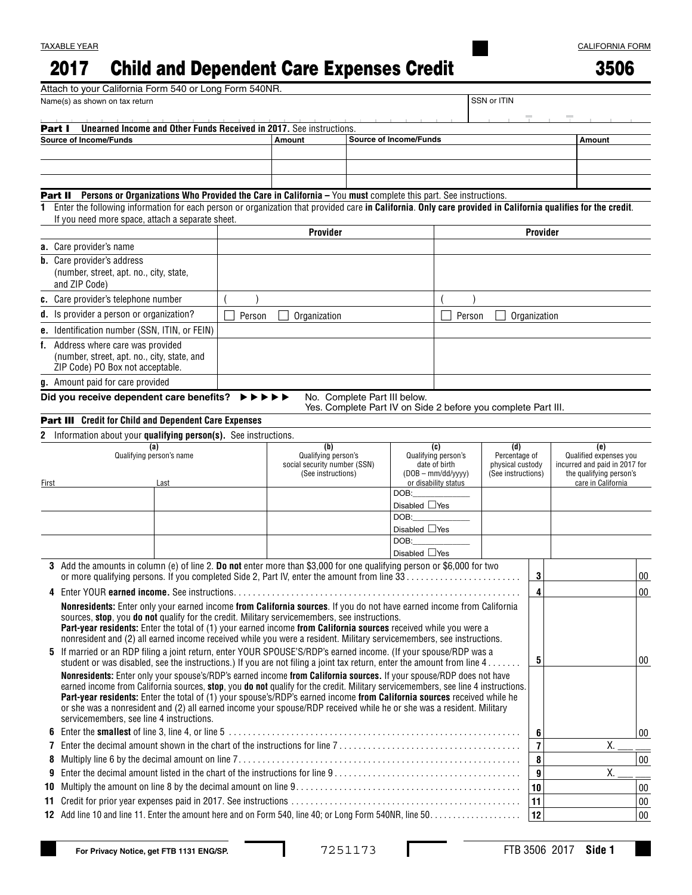## 2017 Child and Dependent Care Expenses Credit

|--|--|

|               | Attach to your California Form 540 or Long Form 540NR.                                                                                                                                                                                          |  |        |                                                     |                    |              |  |                                                               |                     |                                   |                    |              |                                                         |        |        |  |
|---------------|-------------------------------------------------------------------------------------------------------------------------------------------------------------------------------------------------------------------------------------------------|--|--------|-----------------------------------------------------|--------------------|--------------|--|---------------------------------------------------------------|---------------------|-----------------------------------|--------------------|--------------|---------------------------------------------------------|--------|--------|--|
|               | Name(s) as shown on tax return                                                                                                                                                                                                                  |  |        |                                                     |                    |              |  |                                                               |                     |                                   | SSN or ITIN        |              |                                                         |        |        |  |
| Part I        | <b>Unearned Income and Other Funds Received in 2017.</b> See instructions.                                                                                                                                                                      |  |        |                                                     |                    |              |  |                                                               |                     |                                   |                    |              |                                                         |        |        |  |
|               | <b>Source of Income/Funds</b>                                                                                                                                                                                                                   |  |        |                                                     | Amount             |              |  | <b>Source of Income/Funds</b>                                 |                     |                                   |                    |              |                                                         | Amount |        |  |
|               |                                                                                                                                                                                                                                                 |  |        |                                                     |                    |              |  |                                                               |                     |                                   |                    |              |                                                         |        |        |  |
|               |                                                                                                                                                                                                                                                 |  |        |                                                     |                    |              |  |                                                               |                     |                                   |                    |              |                                                         |        |        |  |
|               |                                                                                                                                                                                                                                                 |  |        |                                                     |                    |              |  |                                                               |                     |                                   |                    |              |                                                         |        |        |  |
|               | Part II Persons or Organizations Who Provided the Care in California - You must complete this part. See instructions.                                                                                                                           |  |        |                                                     |                    |              |  |                                                               |                     |                                   |                    |              |                                                         |        |        |  |
| 1.            | Enter the following information for each person or organization that provided care in California. Only care provided in California qualifies for the credit.                                                                                    |  |        |                                                     |                    |              |  |                                                               |                     |                                   |                    |              |                                                         |        |        |  |
|               | If you need more space, attach a separate sheet.                                                                                                                                                                                                |  |        |                                                     |                    |              |  |                                                               |                     |                                   |                    |              |                                                         |        |        |  |
|               |                                                                                                                                                                                                                                                 |  |        | Provider                                            |                    |              |  |                                                               |                     | Provider                          |                    |              |                                                         |        |        |  |
|               | a. Care provider's name                                                                                                                                                                                                                         |  |        |                                                     |                    |              |  |                                                               |                     |                                   |                    |              |                                                         |        |        |  |
|               | <b>b.</b> Care provider's address                                                                                                                                                                                                               |  |        |                                                     |                    |              |  |                                                               |                     |                                   |                    |              |                                                         |        |        |  |
|               | (number, street, apt. no., city, state,                                                                                                                                                                                                         |  |        |                                                     |                    |              |  |                                                               |                     |                                   |                    |              |                                                         |        |        |  |
|               | and ZIP Code)                                                                                                                                                                                                                                   |  |        |                                                     |                    |              |  |                                                               |                     |                                   |                    |              |                                                         |        |        |  |
|               | c. Care provider's telephone number                                                                                                                                                                                                             |  |        |                                                     |                    |              |  |                                                               |                     |                                   |                    |              |                                                         |        |        |  |
|               | d. Is provider a person or organization?                                                                                                                                                                                                        |  | Person |                                                     |                    | Organization |  |                                                               |                     | Person                            |                    | Organization |                                                         |        |        |  |
|               | e. Identification number (SSN, ITIN, or FEIN)                                                                                                                                                                                                   |  |        |                                                     |                    |              |  |                                                               |                     |                                   |                    |              |                                                         |        |        |  |
|               | f. Address where care was provided                                                                                                                                                                                                              |  |        |                                                     |                    |              |  |                                                               |                     |                                   |                    |              |                                                         |        |        |  |
|               | (number, street, apt. no., city, state, and                                                                                                                                                                                                     |  |        |                                                     |                    |              |  |                                                               |                     |                                   |                    |              |                                                         |        |        |  |
|               | ZIP Code) PO Box not acceptable.                                                                                                                                                                                                                |  |        |                                                     |                    |              |  |                                                               |                     |                                   |                    |              |                                                         |        |        |  |
|               | g. Amount paid for care provided                                                                                                                                                                                                                |  |        |                                                     |                    |              |  |                                                               |                     |                                   |                    |              |                                                         |        |        |  |
|               | Did you receive dependent care benefits?                                                                                                                                                                                                        |  | ▶▶     |                                                     |                    |              |  | No. Complete Part III below.                                  |                     |                                   |                    |              |                                                         |        |        |  |
|               |                                                                                                                                                                                                                                                 |  |        |                                                     |                    |              |  | Yes. Complete Part IV on Side 2 before you complete Part III. |                     |                                   |                    |              |                                                         |        |        |  |
|               | Part III Credit for Child and Dependent Care Expenses                                                                                                                                                                                           |  |        |                                                     |                    |              |  |                                                               |                     |                                   |                    |              |                                                         |        |        |  |
| 2             | Information about your qualifying person(s). See instructions.                                                                                                                                                                                  |  |        |                                                     |                    |              |  |                                                               |                     |                                   |                    |              |                                                         |        |        |  |
|               | (a)                                                                                                                                                                                                                                             |  |        |                                                     |                    | (b)          |  |                                                               | (c)                 |                                   | (d)                |              |                                                         | (e)    |        |  |
|               | Qualifying person's name                                                                                                                                                                                                                        |  |        | Qualifying person's<br>social security number (SSN) |                    |              |  | Qualifying person's<br>date of birth                          |                     | Percentage of<br>physical custody |                    |              | Qualified expenses you<br>incurred and paid in 2017 for |        |        |  |
|               |                                                                                                                                                                                                                                                 |  |        |                                                     | (See instructions) |              |  |                                                               | $(DOB - mm/dd/yyy)$ |                                   | (See instructions) |              | the qualifying person's                                 |        |        |  |
| Last<br>First |                                                                                                                                                                                                                                                 |  |        |                                                     |                    | DOB:         |  | or disability status                                          |                     |                                   |                    |              | care in California                                      |        |        |  |
|               |                                                                                                                                                                                                                                                 |  |        |                                                     |                    |              |  |                                                               | Disabled $\Box$ Yes |                                   |                    |              |                                                         |        |        |  |
|               |                                                                                                                                                                                                                                                 |  |        |                                                     |                    |              |  | DOB:                                                          |                     |                                   |                    |              |                                                         |        |        |  |
|               |                                                                                                                                                                                                                                                 |  |        |                                                     |                    |              |  | Disabled <sub>Ves</sub>                                       |                     |                                   |                    |              |                                                         |        |        |  |
|               |                                                                                                                                                                                                                                                 |  |        |                                                     |                    |              |  | DOB:                                                          |                     |                                   |                    |              |                                                         |        |        |  |
|               |                                                                                                                                                                                                                                                 |  |        |                                                     |                    |              |  | Disabled $\Box$ Yes                                           |                     |                                   |                    |              |                                                         |        |        |  |
|               | 3 Add the amounts in column (e) of line 2. Do not enter more than \$3,000 for one qualifying person or \$6,000 for two                                                                                                                          |  |        |                                                     |                    |              |  |                                                               |                     |                                   |                    |              |                                                         |        |        |  |
|               | or more qualifying persons. If you completed Side 2, Part IV, enter the amount from line 33                                                                                                                                                     |  |        |                                                     |                    |              |  |                                                               |                     |                                   |                    | 3            |                                                         |        | $00\,$ |  |
| 4             |                                                                                                                                                                                                                                                 |  |        |                                                     |                    |              |  |                                                               |                     |                                   |                    | 4            |                                                         |        | 00     |  |
|               | Nonresidents: Enter only your earned income from California sources. If you do not have earned income from California                                                                                                                           |  |        |                                                     |                    |              |  |                                                               |                     |                                   |                    |              |                                                         |        |        |  |
|               | sources, stop, you do not qualify for the credit. Military servicemembers, see instructions.<br>Part-year residents: Enter the total of (1) your earned income from California sources received while you were a                                |  |        |                                                     |                    |              |  |                                                               |                     |                                   |                    |              |                                                         |        |        |  |
|               | nonresident and (2) all earned income received while you were a resident. Military servicemembers, see instructions.                                                                                                                            |  |        |                                                     |                    |              |  |                                                               |                     |                                   |                    |              |                                                         |        |        |  |
|               | 5 If married or an RDP filing a joint return, enter YOUR SPOUSE'S/RDP's earned income. (If your spouse/RDP was a                                                                                                                                |  |        |                                                     |                    |              |  |                                                               |                     |                                   |                    |              |                                                         |        |        |  |
|               | student or was disabled, see the instructions.) If you are not filing a joint tax return, enter the amount from line $4 \ldots \ldots$                                                                                                          |  |        |                                                     |                    |              |  |                                                               |                     |                                   |                    | 5            |                                                         |        | 00     |  |
|               | Nonresidents: Enter only your spouse's/RDP's earned income from California sources. If your spouse/RDP does not have                                                                                                                            |  |        |                                                     |                    |              |  |                                                               |                     |                                   |                    |              |                                                         |        |        |  |
|               | earned income from California sources, stop, you do not qualify for the credit. Military servicemembers, see line 4 instructions.                                                                                                               |  |        |                                                     |                    |              |  |                                                               |                     |                                   |                    |              |                                                         |        |        |  |
|               | Part-year residents: Enter the total of (1) your spouse's/RDP's earned income from California sources received while he<br>or she was a nonresident and (2) all earned income your spouse/RDP received while he or she was a resident. Military |  |        |                                                     |                    |              |  |                                                               |                     |                                   |                    |              |                                                         |        |        |  |
|               | servicemembers, see line 4 instructions.                                                                                                                                                                                                        |  |        |                                                     |                    |              |  |                                                               |                     |                                   |                    |              |                                                         |        |        |  |
| 6             |                                                                                                                                                                                                                                                 |  |        |                                                     |                    |              |  |                                                               |                     |                                   |                    | 6            |                                                         |        | $00\,$ |  |
| 7             |                                                                                                                                                                                                                                                 |  |        |                                                     |                    |              |  |                                                               | $\overline{7}$      |                                   | Χ.                 |              |                                                         |        |        |  |
| 8             |                                                                                                                                                                                                                                                 |  |        |                                                     |                    |              |  |                                                               |                     |                                   |                    | 8            |                                                         |        | $00\,$ |  |
| 9             |                                                                                                                                                                                                                                                 |  |        |                                                     |                    |              |  |                                                               |                     |                                   |                    | 9            |                                                         | Χ.     |        |  |
| 10            |                                                                                                                                                                                                                                                 |  |        |                                                     |                    |              |  |                                                               |                     |                                   |                    | 10           |                                                         |        | $00\,$ |  |
| 11            |                                                                                                                                                                                                                                                 |  |        |                                                     |                    |              |  |                                                               |                     |                                   |                    | 11           |                                                         |        | $00\,$ |  |
|               |                                                                                                                                                                                                                                                 |  |        |                                                     |                    |              |  |                                                               |                     |                                   |                    | 12           |                                                         |        | $00\,$ |  |